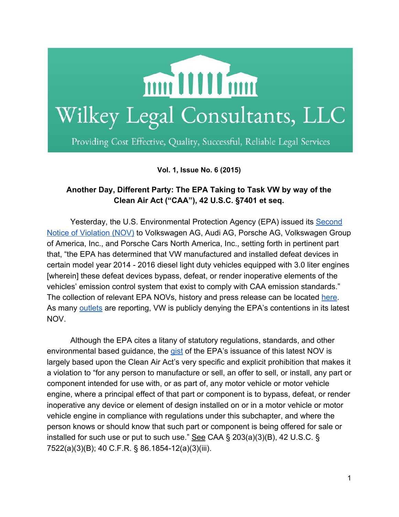

**Vol. 1, Issue No. 6 (2015)**

## **Another Day, Different Party: The EPA Taking to Task VW by way of the Clean Air Act ("CAA"), 42 U.S.C. §7401 et seq.**

Yesterday, the U.S. Environmental Protection Agency (EPA) issued its [Second](http://www3.epa.gov/otaq/cert/documents/vw-nov-2015-11-02.pdf) Notice of [Violation](http://www3.epa.gov/otaq/cert/documents/vw-nov-2015-11-02.pdf) (NOV) to Volkswagen AG, Audi AG, Porsche AG, Volkswagen Group of America, Inc., and Porsche Cars North America, Inc., setting forth in pertinent part that, "the EPA has determined that VW manufactured and installed defeat devices in certain model year 2014 2016 diesel light duty vehicles equipped with 3.0 liter engines [wherein] these defeat devices bypass, defeat, or render inoperative elements of the vehicles' emission control system that exist to comply with CAA emission standards." The collection of relevant EPA NOVs, history and press release can be located [here.](http://www3.epa.gov/otaq/cert/violations.htm) As many [outlets](http://www.cnbc.com/2015/11/02/epa-slams-vw-for-more-violations.html) are reporting, VW is publicly denying the EPA's contentions in its latest NOV.

Although the EPA cites a litany of statutory regulations, standards, and other environmental based guidance, the [gist](http://www3.epa.gov/otaq/cert/documents/vw-nov-2015-11-02.pdf) of the EPA's issuance of this latest NOV is largely based upon the Clean Air Act's very specific and explicit prohibition that makes it a violation to "for any person to manufacture or sell, an offer to sell, or install, any part or component intended for use with, or as part of, any motor vehicle or motor vehicle engine, where a principal effect of that part or component is to bypass, defeat, or render inoperative any device or element of design installed on or in a motor vehicle or motor vehicle engine in compliance with regulations under this subchapter, and where the person knows or should know that such part or component is being offered for sale or installed for such use or put to such use." See CAA  $\S$  203(a)(3)(B), 42 U.S.C.  $\S$ 7522(a)(3)(B); 40 C.F.R. § 86.1854-12(a)(3)(iii).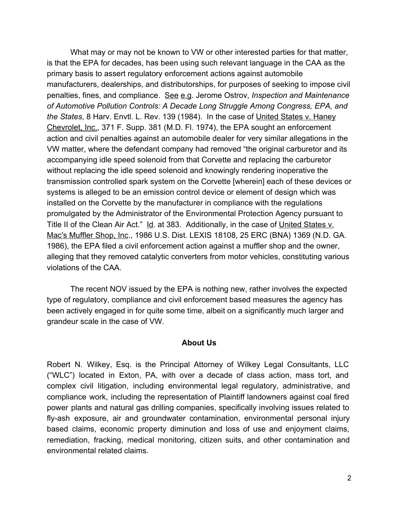What may or may not be known to VW or other interested parties for that matter, is that the EPA for decades, has been using such relevant language in the CAA as the primary basis to assert regulatory enforcement actions against automobile manufacturers, dealerships, and distributorships, for purposes of seeking to impose civil penalties, fines, and compliance. See e.g. Jerome Ostrov, *Inspection and Maintenance of Automotive Pollution Controls: A Decade Long Struggle Among Congress, EPA, and the States*, 8 Harv. Envtl. L. Rev. 139 (1984). In the case of United States v. Haney Chevrolet, Inc., 371 F. Supp. 381 (M.D. Fl. 1974), the EPA sought an enforcement action and civil penalties against an automobile dealer for very similar allegations in the VW matter, where the defendant company had removed "the original carburetor and its accompanying idle speed solenoid from that Corvette and replacing the carburetor without replacing the idle speed solenoid and knowingly rendering inoperative the transmission controlled spark system on the Corvette [wherein] each of these devices or systems is alleged to be an emission control device or element of design which was installed on the Corvette by the manufacturer in compliance with the regulations promulgated by the Administrator of the Environmental Protection Agency pursuant to Title II of the Clean Air Act." Id. at 383. Additionally, in the case of United States v. Mac's Muffler Shop, Inc., 1986 U.S. Dist. LEXIS 18108, 25 ERC (BNA) 1369 (N.D. GA. 1986), the EPA filed a civil enforcement action against a muffler shop and the owner, alleging that they removed catalytic converters from motor vehicles, constituting various violations of the CAA.

The recent NOV issued by the EPA is nothing new, rather involves the expected type of regulatory, compliance and civil enforcement based measures the agency has been actively engaged in for quite some time, albeit on a significantly much larger and grandeur scale in the case of VW.

## **About Us**

Robert N. Wilkey, Esq. is the Principal Attorney of Wilkey Legal Consultants, LLC ("WLC") located in Exton, PA, with over a decade of class action, mass tort, and complex civil litigation, including environmental legal regulatory, administrative, and compliance work, including the representation of Plaintiff landowners against coal fired power plants and natural gas drilling companies, specifically involving issues related to fly-ash exposure, air and groundwater contamination, environmental personal injury based claims, economic property diminution and loss of use and enjoyment claims, remediation, fracking, medical monitoring, citizen suits, and other contamination and environmental related claims.